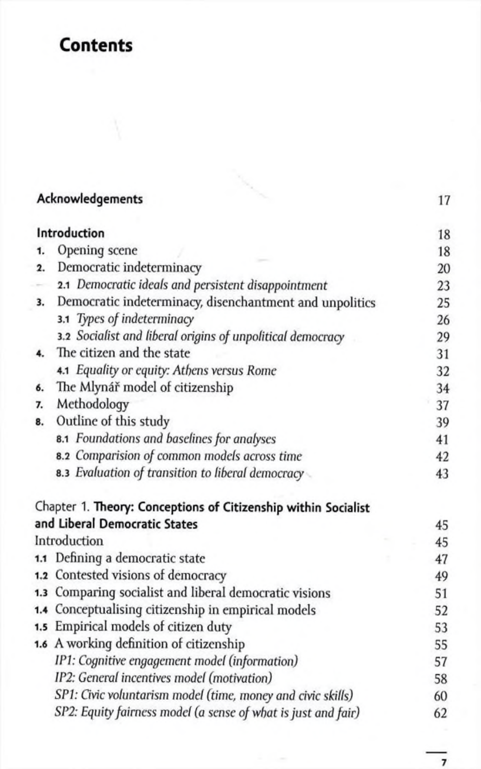## Contents

|              | Acknowledgements                                               | 17 |
|--------------|----------------------------------------------------------------|----|
|              | Introduction                                                   | 18 |
| 1.           | Opening scene                                                  | 18 |
| 2.           | Democratic indeterminacy                                       | 20 |
|              | 2.1 Democratic ideals and persistent disappointment            | 23 |
| 3.           | Democratic indeterminacy, disenchantment and unpolitics        | 25 |
|              | 3.1 Types of indeterminacy                                     | 26 |
|              | 3.2 Socialist and liberal origins of unpolitical democracy     | 29 |
|              | The citizen and the state                                      | 31 |
|              | 4.1 Equality or equity: Athens versus Rome                     | 32 |
| б.           | The Mlynář model of citizenship                                | 34 |
| 7.           | Methodology                                                    | 37 |
| 8.           | Outline of this study                                          | 39 |
|              | 8.1 Foundations and baselines for analyses                     | 41 |
|              | 8.2 Comparision of common models across time                   | 42 |
|              | <b>8.3</b> Evaluation of transition to liberal democracy       | 43 |
|              | Chapter 1. Theory: Conceptions of Citizenship within Socialist |    |
|              | and Liberal Democratic States                                  | 45 |
| Introduction |                                                                | 45 |
|              | 1.1 Defining a democratic state                                | 47 |
|              | 1.2 Contested visions of democracy                             | 49 |
|              | 1.3 Comparing socialist and liberal democratic visions         | 51 |
| 1.4          | Conceptualising citizenship in empirical models                | 52 |
|              | 1.5 Empirical models of citizen duty                           | 53 |
|              | 1.6 A working definition of citizenship                        | 55 |
|              | IP1: Cognitive engagement model (information)                  | 57 |
|              | IP2: General incentives model (motivation)                     | 58 |
|              | SP1: Civic voluntarism model (time, money and civic skills)    | 60 |
|              | SP2: Equity fairness model (a sense of what is just and fair)  | 62 |

 $\overline{7}$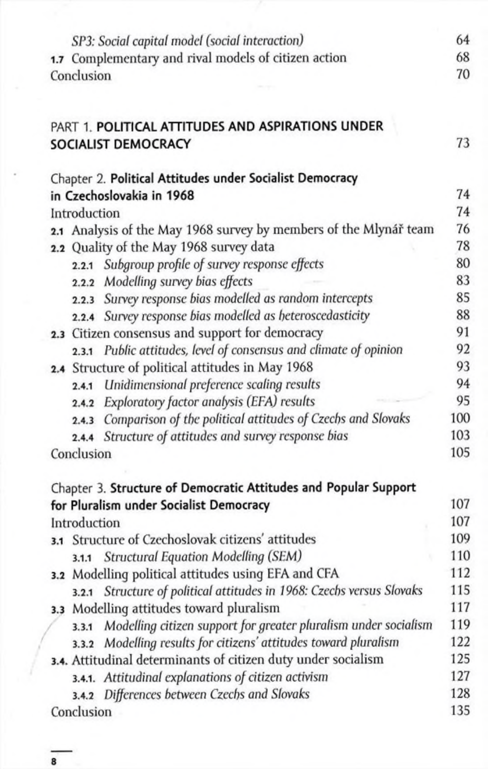| SP3: Social capital model (social interaction)                           | 64  |
|--------------------------------------------------------------------------|-----|
| 1.7 Complementary and rival models of citizen action                     | 68  |
| Conclusion                                                               | 70  |
|                                                                          |     |
| PART 1. POLITICAL ATTITUDES AND ASPIRATIONS UNDER                        |     |
| SOCIALIST DEMOCRACY                                                      | 73  |
| Chapter 2. Political Attitudes under Socialist Democracy                 |     |
| in Czechoslovakia in 1968                                                | 74  |
| Introduction                                                             | 74  |
| 2.1 Analysis of the May 1968 survey by members of the Mlynář team        | 76  |
| 2.2 Quality of the May 1968 survey data                                  | 78  |
| 2.2.1 Subgroup profile of survey response effects                        | 80  |
| 2.2.2 Modelling survey bias effects                                      | 83  |
| 2.2.3 Survey response bias modelled as random intercepts                 | 85  |
| 2.2.4 Survey response bias modelled as heteroscedasticity                | 88  |
| 2.3 Citizen consensus and support for democracy                          | 91  |
| 2.3.1 Public attitudes, level of consensus and climate of opinion        | 92  |
| 2.4 Structure of political attitudes in May 1968                         | 93  |
| 2.4.1 Unidimensional preference scaling results                          | 94  |
| Exploratory factor analysis (EFA) results<br>2.4.2                       | 95  |
| 2.4.3 Comparison of the political attitudes of Czechs and Slovaks        | 100 |
| 2.4.4 Structure of attitudes and survey response bias                    | 103 |
| Conclusion                                                               | 105 |
| Chapter 3. Structure of Democratic Attitudes and Popular Support         |     |
| for Pluralism under Socialist Democracy                                  | 107 |
| Introduction                                                             | 107 |
| 3.1 Structure of Czechoslovak citizens' attitudes                        | 109 |
| 3.1.1 Structural Equation Modelling (SEM)                                | 110 |
| 3.2 Modelling political attitudes using EFA and CFA                      | 112 |
| 3.2.1 Structure of political attitudes in 1968: Czechs versus Slovaks    | 115 |
| 3.3 Modelling attitudes toward pluralism                                 | 117 |
| Modelling citizen support for greater pluralism under socialism<br>3.3.1 | 119 |
| 3.3.2 Modelling results for citizens' attitudes toward pluralism         | 122 |
| 3.4. Attitudinal determinants of citizen duty under socialism            | 125 |
| 3.4.1. Attitudinal explanations of citizen activism                      | 127 |
| 3.4.2 Differences between Czechs and Slovaks                             | 128 |
| Conclusion                                                               | 135 |

8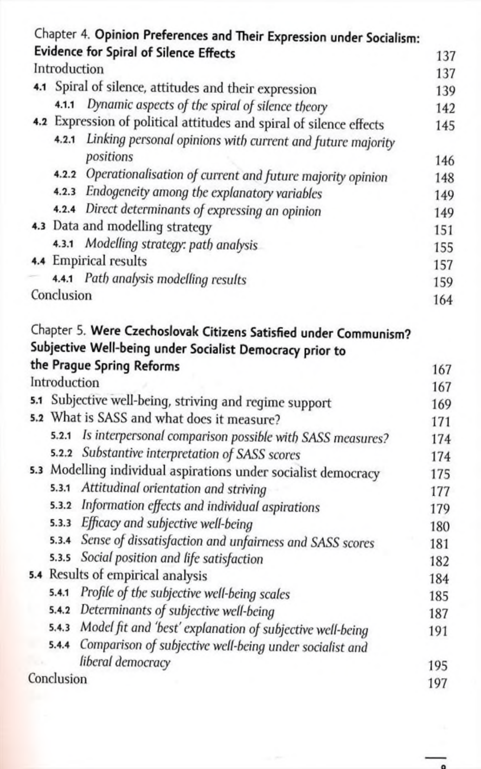|     |              | Chapter 4. Opinion Preferences and Their Expression under Socialism:                                                         |     |
|-----|--------------|------------------------------------------------------------------------------------------------------------------------------|-----|
|     |              | <b>Evidence for Spiral of Silence Effects</b>                                                                                | 137 |
|     | Introduction |                                                                                                                              | 137 |
|     |              | 4.1 Spiral of silence, attitudes and their expression                                                                        | 139 |
|     |              | 4.1.1 Dynamic aspects of the spiral of silence theory                                                                        | 142 |
|     |              | 4.2 Expression of political attitudes and spiral of silence effects                                                          | 145 |
|     |              | 4.2.1 Linking personal opinions with current and future majority                                                             |     |
|     |              | positions                                                                                                                    | 146 |
|     |              | 4.2.2 Operationalisation of current and future majority opinion                                                              | 148 |
|     |              | 4.2.3 Endogeneity among the explanatory variables                                                                            | 149 |
|     |              | 4.2.4 Direct determinants of expressing an opinion                                                                           | 149 |
|     |              | 4.3 Data and modelling strategy                                                                                              | 151 |
|     |              | 4.3.1 Modelling strategy: path analysis                                                                                      | 155 |
|     |              | 4.4 Empirical results                                                                                                        | 157 |
|     |              | 4.4.1 Path analysis modelling results                                                                                        | 159 |
|     | Conclusion   |                                                                                                                              | 164 |
|     |              | Chapter 5. Were Czechoslovak Citizens Satisfied under Communism?<br>Subjective Well-being under Socialist Democracy prior to |     |
|     |              | the Prague Spring Reforms                                                                                                    | 167 |
|     | Introduction |                                                                                                                              | 167 |
|     |              | 5.1 Subjective well-being, striving and regime support                                                                       | 169 |
| 5.2 |              | What is SASS and what does it measure?                                                                                       | 171 |
|     | 5, 2.1       | Is interpersonal comparison possible with SASS measures?                                                                     | 174 |
|     |              | 5.2.2 Substantive interpretation of SASS scores                                                                              | 174 |
|     |              | 5.3 Modelling individual aspirations under socialist democracy                                                               | 175 |
|     |              | 5.3.1 Attitudinal orientation and striving                                                                                   | 177 |
|     | 5.3.2        | Information effects and individual aspirations                                                                               | 179 |
|     |              | 5.3.3 Efficacy and subjective well-being                                                                                     | 180 |
|     |              | 5.3.4 Sense of dissatisfaction and unfairness and SASS scores                                                                | 181 |
|     |              | 5.3.5 Social position and life satisfaction                                                                                  | 182 |
|     |              | 5.4 Results of empirical analysis                                                                                            | 184 |
|     | 5.4.1        | Profile of the subjective well-being scales                                                                                  | 185 |
|     | 5.4.2        | Determinants of subjective well-being                                                                                        | 187 |
|     | 5, 4, 3      | Model fit and 'best' explanation of subjective well-being                                                                    | 191 |
|     | 5.4.4        | Comparison of subjective well-being under socialist and                                                                      |     |
|     |              | liberal democracy                                                                                                            | 195 |
|     | Conclusion   |                                                                                                                              | 197 |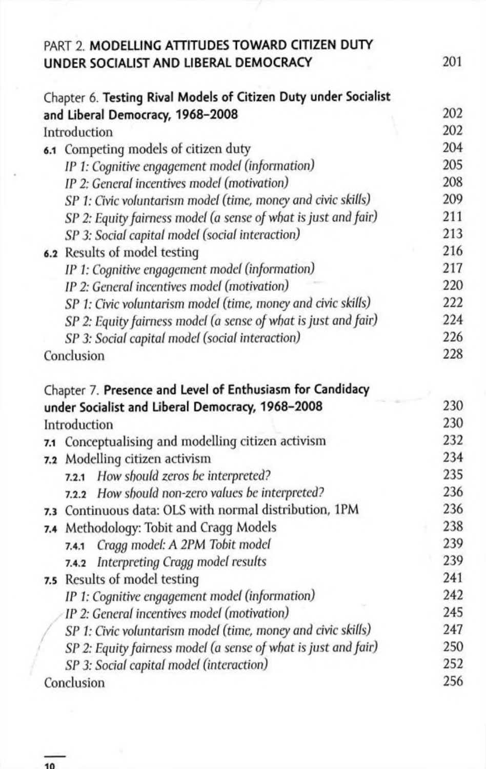| PART 2. MODELLING ATTITUDES TOWARD CITIZEN DUTY                 |     |
|-----------------------------------------------------------------|-----|
| UNDER SOCIALIST AND LIBERAL DEMOCRACY                           | 201 |
| Chapter 6. Testing Rival Models of Citizen Duty under Socialist |     |
| and Liberal Democracy, 1968-2008                                | 202 |
| Introduction                                                    | 202 |
| 6.1 Competing models of citizen duty                            | 204 |
| IP 1: Cognitive engagement model (information)                  | 205 |
| IP 2: General incentives model (motivation)                     | 208 |
| SP 1: Civic voluntarism model (time, money and civic skills)    | 209 |
| SP 2: Equity fairness model (a sense of what is just and fair)  | 211 |
| SP 3: Social capital model (social interaction)                 | 213 |
| 6.2 Results of model testing                                    | 216 |
| IP 1: Cognitive engagement model (information)                  | 217 |
| IP 2: General incentives model (motivation)                     | 220 |
| SP 1: Civic voluntarism model (time, money and civic skills)    | 222 |
| SP 2: Equity fairness model (a sense of what is just and fair)  | 224 |
| SP 3: Social capital model (social interaction)                 | 226 |
| Conclusion                                                      | 228 |
|                                                                 |     |
| Chapter 7. Presence and Level of Enthusiasm for Candidacy       |     |
| under Socialist and Liberal Democracy, 1968-2008                | 230 |
| Introduction                                                    | 230 |
| Conceptualising and modelling citizen activism<br>7.1           | 232 |
| Modelling citizen activism<br>7.2                               | 234 |
| How should zeros be interpreted?<br>7.2.1                       | 235 |
| 7.2.2 How should non-zero values be interpreted?                | 236 |
| 7.3 Continuous data: OLS with normal distribution, 1PM          | 236 |
| 7.4 Methodology: Tobit and Cragg Models                         | 238 |
| Cragg model: A 2PM Tobit model<br>7.4.1                         | 239 |
| Interpreting Cragg model results<br>7.4.2                       | 239 |
| 7.5 Results of model testing                                    | 241 |
| IP 1: Cognitive engagement model (information)                  | 242 |
| IP 2: General incentives model (motivation)                     | 245 |
| SP 1: Civic voluntarism model (time, money and civic skills)    | 247 |
| SP 2: Equity fairness model (a sense of what is just and fair)  | 250 |
| SP 3: Social capital model (interaction)                        | 252 |
| Conclusion                                                      | 256 |